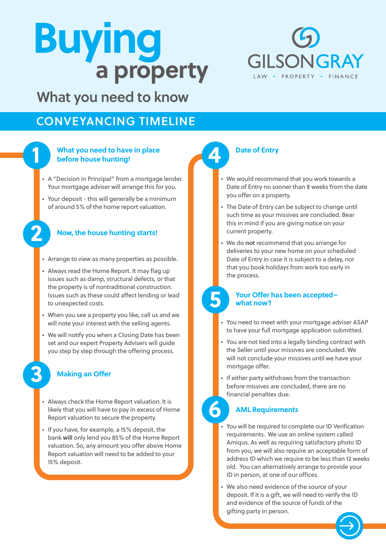# **a property Buying**



What you need to know

## CONVEYANCING TIMELINE



**2**

**3**

#### **What you need to have in place before house hunting!**

- A "Decision in Principal" from a mortgage lender. Your mortgage adviser will arrange this for you.
- Your deposit this will generally be a minimum of around 5% of the home report valuation.



- Arrange to view as many properties as possible.
- Always read the Home Report. It may flag up issues such as damp, structural defects, or that the property is of nontraditional construction. Issues such as these could affect lending or lead to unexpected costs.
- When you see a property you like, call us and we will note your interest with the selling agents.
- We will notify you when a Closing Date has been set and our expert Property Advisers will guide you step by step through the offering process.

#### **Making an Offer**

- Always check the Home Report valuation. It is likely that you will have to pay in excess of Home Report valuation to secure the property.
- If you have, for example, a 15% deposit, the bank **will** only lend you 85% of the Home Report valuation. So, any amount you offer above Home Report valuation will need to be added to your 15% deposit.

**4**

**5**

**6**

#### **Date of Entry**

- We would recommend that you work towards a Date of Entry no sooner than 8 weeks from the date you offer on a property.
- The Date of Entry can be subject to change until such time as your missives are concluded. Bear this in mind if you are giving notice on your current property.
- We do **not** recommend that you arrange for deliveries to your new home on your scheduled Date of Entry in case it is subject to a delay, nor that you book holidays from work too early in the process.

#### **Your Offer has been accepted– what now?**

- You need to meet with your mortgage adviser ASAP to have your full mortgage application submitted.
- You are not tied into a legally binding contract with the Seller until your missives are concluded. We will not conclude your missives until we have your mortgage offer.
- If either party withdraws from the transaction before missives are concluded, there are no financial penalties due.

#### **AML Requirements**

- You will be required to complete our ID Verification requirements. We use an online system called Amiqus. As well as requiring satisfactory photo ID from you, we will also require an acceptable form of address ID which we require to be less than 12 weeks old. You can alternatively arrange to provide your ID in person, at one of our offices.
- We also need evidence of the source of your deposit. If it is a gift, we will need to verify the ID and evidence of the source of funds of the gifting party in person.